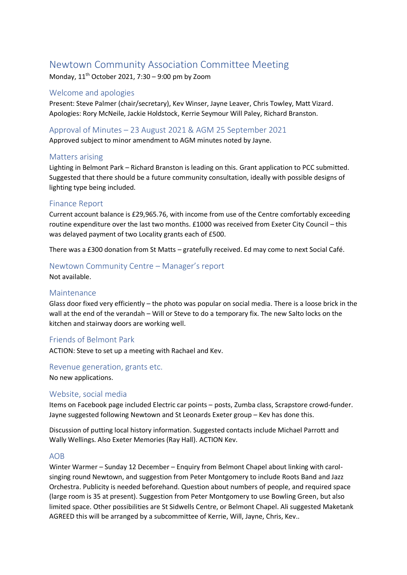# Newtown Community Association Committee Meeting

Monday,  $11<sup>th</sup>$  October 2021, 7:30 – 9:00 pm by Zoom

# Welcome and apologies

Present: Steve Palmer (chair/secretary), Kev Winser, Jayne Leaver, Chris Towley, Matt Vizard. Apologies: Rory McNeile, Jackie Holdstock, Kerrie Seymour Will Paley, Richard Branston.

# Approval of Minutes – 23 August 2021 & AGM 25 September 2021

Approved subject to minor amendment to AGM minutes noted by Jayne.

## Matters arising

Lighting in Belmont Park – Richard Branston is leading on this. Grant application to PCC submitted. Suggested that there should be a future community consultation, ideally with possible designs of lighting type being included.

# Finance Report

Current account balance is £29,965.76, with income from use of the Centre comfortably exceeding routine expenditure over the last two months. £1000 was received from Exeter City Council – this was delayed payment of two Locality grants each of £500.

There was a £300 donation from St Matts – gratefully received. Ed may come to next Social Café.

# Newtown Community Centre – Manager's report

Not available.

### Maintenance

Glass door fixed very efficiently – the photo was popular on social media. There is a loose brick in the wall at the end of the verandah – Will or Steve to do a temporary fix. The new Salto locks on the kitchen and stairway doors are working well.

## Friends of Belmont Park

ACTION: Steve to set up a meeting with Rachael and Kev.

### Revenue generation, grants etc.

No new applications.

### Website, social media

Items on Facebook page included Electric car points – posts, Zumba class, Scrapstore crowd-funder. Jayne suggested following Newtown and St Leonards Exeter group – Kev has done this.

Discussion of putting local history information. Suggested contacts include Michael Parrott and Wally Wellings. Also Exeter Memories (Ray Hall). ACTION Kev.

### AOB

Winter Warmer – Sunday 12 December – Enquiry from Belmont Chapel about linking with carolsinging round Newtown, and suggestion from Peter Montgomery to include Roots Band and Jazz Orchestra. Publicity is needed beforehand. Question about numbers of people, and required space (large room is 35 at present). Suggestion from Peter Montgomery to use Bowling Green, but also limited space. Other possibilities are St Sidwells Centre, or Belmont Chapel. Ali suggested Maketank AGREED this will be arranged by a subcommittee of Kerrie, Will, Jayne, Chris, Kev..